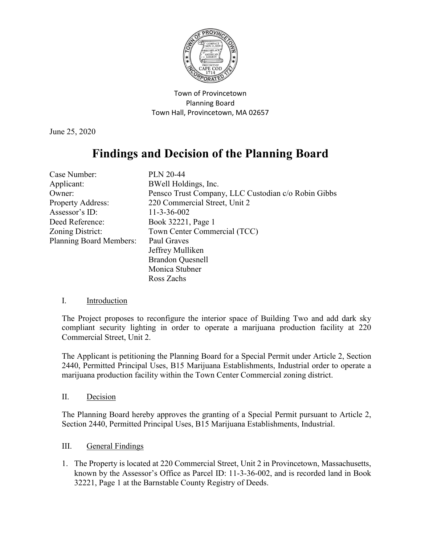

Town of Provincetown Planning Board Town Hall, Provincetown, MA 02657

June 25, 2020

## **Findings and Decision of the Planning Board**

| Case Number:                   | <b>PLN 20-44</b>                                    |
|--------------------------------|-----------------------------------------------------|
| Applicant:                     | BWell Holdings, Inc.                                |
| Owner:                         | Pensco Trust Company, LLC Custodian c/o Robin Gibbs |
| <b>Property Address:</b>       | 220 Commercial Street, Unit 2                       |
| Assessor's ID:                 | $11 - 3 - 36 - 002$                                 |
| Deed Reference:                | Book 32221, Page 1                                  |
| Zoning District:               | Town Center Commercial (TCC)                        |
| <b>Planning Board Members:</b> | Paul Graves                                         |
|                                | Jeffrey Mulliken                                    |
|                                | <b>Brandon Quesnell</b>                             |
|                                | Monica Stubner                                      |
|                                | Ross Zachs                                          |

## I. Introduction

The Project proposes to reconfigure the interior space of Building Two and add dark sky compliant security lighting in order to operate a marijuana production facility at 220 Commercial Street, Unit 2.

The Applicant is petitioning the Planning Board for a Special Permit under Article 2, Section 2440, Permitted Principal Uses, B15 Marijuana Establishments, Industrial order to operate a marijuana production facility within the Town Center Commercial zoning district.

## II. Decision

The Planning Board hereby approves the granting of a Special Permit pursuant to Article 2, Section 2440, Permitted Principal Uses, B15 Marijuana Establishments, Industrial.

## III. General Findings

1. The Property is located at 220 Commercial Street, Unit 2 in Provincetown, Massachusetts, known by the Assessor's Office as Parcel ID: 11-3-36-002, and is recorded land in Book 32221, Page 1 at the Barnstable County Registry of Deeds.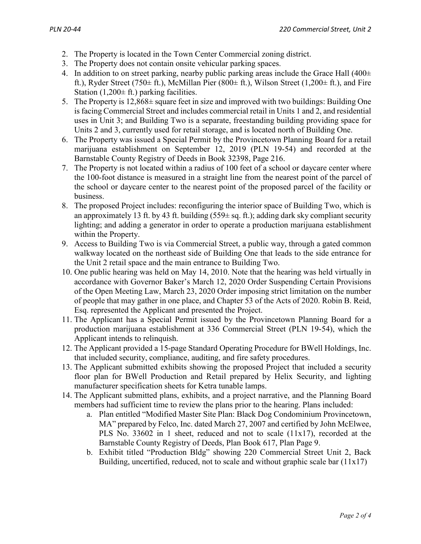- 2. The Property is located in the Town Center Commercial zoning district.
- 3. The Property does not contain onsite vehicular parking spaces.
- 4. In addition to on street parking, nearby public parking areas include the Grace Hall  $(400\pm 100)$ ft.), Ryder Street (750 $\pm$  ft.), McMillan Pier (800 $\pm$  ft.), Wilson Street (1,200 $\pm$  ft.), and Fire Station  $(1,200 \pm \text{ft.})$  parking facilities.
- 5. The Property is 12,868± square feet in size and improved with two buildings: Building One is facing Commercial Street and includes commercial retail in Units 1 and 2, and residential uses in Unit 3; and Building Two is a separate, freestanding building providing space for Units 2 and 3, currently used for retail storage, and is located north of Building One.
- 6. The Property was issued a Special Permit by the Provincetown Planning Board for a retail marijuana establishment on September 12, 2019 (PLN 19-54) and recorded at the Barnstable County Registry of Deeds in Book 32398, Page 216.
- 7. The Property is not located within a radius of 100 feet of a school or daycare center where the 100-foot distance is measured in a straight line from the nearest point of the parcel of the school or daycare center to the nearest point of the proposed parcel of the facility or business.
- 8. The proposed Project includes: reconfiguring the interior space of Building Two, which is an approximately 13 ft. by 43 ft. building  $(559 \pm sq. \text{ ft.})$ ; adding dark sky compliant security lighting; and adding a generator in order to operate a production marijuana establishment within the Property.
- 9. Access to Building Two is via Commercial Street, a public way, through a gated common walkway located on the northeast side of Building One that leads to the side entrance for the Unit 2 retail space and the main entrance to Building Two.
- 10. One public hearing was held on May 14, 2010. Note that the hearing was held virtually in accordance with Governor Baker's March 12, 2020 Order Suspending Certain Provisions of the Open Meeting Law, March 23, 2020 Order imposing strict limitation on the number of people that may gather in one place, and Chapter 53 of the Acts of 2020. Robin B. Reid, Esq. represented the Applicant and presented the Project.
- 11. The Applicant has a Special Permit issued by the Provincetown Planning Board for a production marijuana establishment at 336 Commercial Street (PLN 19-54), which the Applicant intends to relinquish.
- 12. The Applicant provided a 15-page Standard Operating Procedure for BWell Holdings, Inc. that included security, compliance, auditing, and fire safety procedures.
- 13. The Applicant submitted exhibits showing the proposed Project that included a security floor plan for BWell Production and Retail prepared by Helix Security, and lighting manufacturer specification sheets for Ketra tunable lamps.
- 14. The Applicant submitted plans, exhibits, and a project narrative, and the Planning Board members had sufficient time to review the plans prior to the hearing. Plans included:
	- a. Plan entitled "Modified Master Site Plan: Black Dog Condominium Provincetown, MA" prepared by Felco, Inc. dated March 27, 2007 and certified by John McElwee, PLS No. 33602 in 1 sheet, reduced and not to scale (11x17), recorded at the Barnstable County Registry of Deeds, Plan Book 617, Plan Page 9.
	- b. Exhibit titled "Production Bldg" showing 220 Commercial Street Unit 2, Back Building, uncertified, reduced, not to scale and without graphic scale bar  $(11x17)$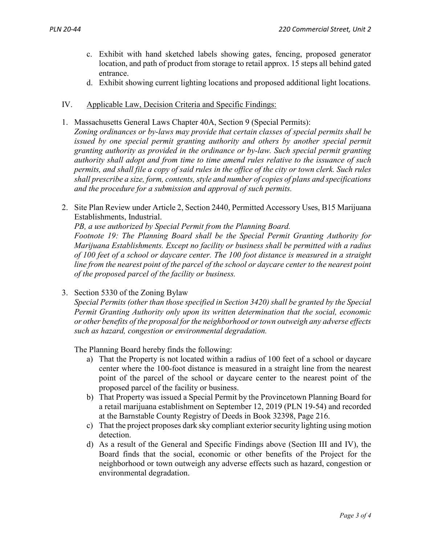- c. Exhibit with hand sketched labels showing gates, fencing, proposed generator location, and path of product from storage to retail approx. 15 steps all behind gated entrance.
- d. Exhibit showing current lighting locations and proposed additional light locations.
- IV. Applicable Law, Decision Criteria and Specific Findings:
- 1. Massachusetts General Laws Chapter 40A, Section 9 (Special Permits): *Zoning ordinances or by-laws may provide that certain classes of special permits shall be issued by one special permit granting authority and others by another special permit granting authority as provided in the ordinance or by-law. Such special permit granting authority shall adopt and from time to time amend rules relative to the issuance of such permits, and shall file a copy of said rules in the office of the city or town clerk. Such rules shall prescribe a size, form, contents, style and number of copies of plans and specifications and the procedure for a submission and approval of such permits.*
- 2. Site Plan Review under Article 2, Section 2440, Permitted Accessory Uses, B15 Marijuana Establishments, Industrial.

*PB, a use authorized by Special Permit from the Planning Board.*

*Footnote 19: The Planning Board shall be the Special Permit Granting Authority for Marijuana Establishments. Except no facility or business shall be permitted with a radius of 100 feet of a school or daycare center. The 100 foot distance is measured in a straight line from the nearest point of the parcel of the school or daycare center to the nearest point of the proposed parcel of the facility or business.*

3. Section 5330 of the Zoning Bylaw

*Special Permits (other than those specified in Section 3420) shall be granted by the Special Permit Granting Authority only upon its written determination that the social, economic or other benefits of the proposal for the neighborhood or town outweigh any adverse effects such as hazard, congestion or environmental degradation.*

The Planning Board hereby finds the following:

- a) That the Property is not located within a radius of 100 feet of a school or daycare center where the 100-foot distance is measured in a straight line from the nearest point of the parcel of the school or daycare center to the nearest point of the proposed parcel of the facility or business.
- b) That Property was issued a Special Permit by the Provincetown Planning Board for a retail marijuana establishment on September 12, 2019 (PLN 19-54) and recorded at the Barnstable County Registry of Deeds in Book 32398, Page 216.
- c) That the project proposes dark sky compliant exterior security lighting using motion detection.
- d) As a result of the General and Specific Findings above (Section III and IV), the Board finds that the social, economic or other benefits of the Project for the neighborhood or town outweigh any adverse effects such as hazard, congestion or environmental degradation.